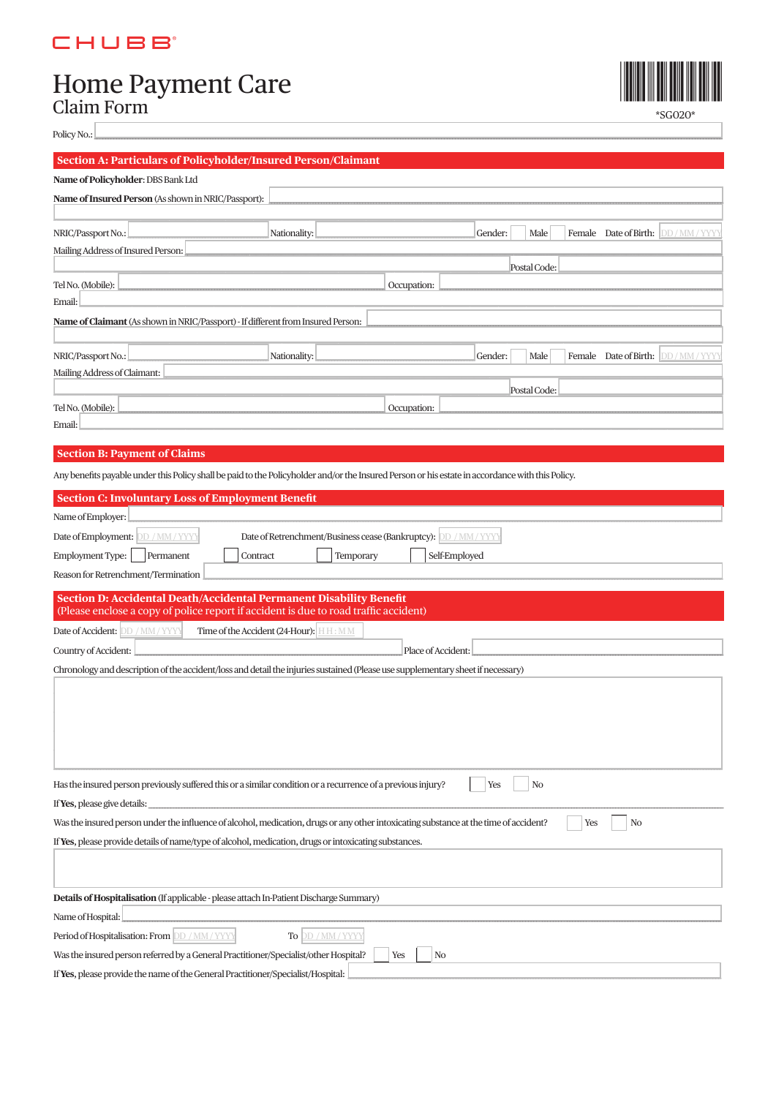## **CHUBB**

# Home Payment Care<br>Claim Form



\*SG020\*

| Policy No.: |  |
|-------------|--|

### Section A: Particulars of Policyholder/Insured Person/Clain

 $\mathbf{r}_{\mathbf{r}}$ 

| Name of Policyholder: DBS Bank Ltd                                                                                                               |                                                                  |  |  |  |
|--------------------------------------------------------------------------------------------------------------------------------------------------|------------------------------------------------------------------|--|--|--|
| Name of Insured Person (As shown in NRIC/Passport):                                                                                              |                                                                  |  |  |  |
|                                                                                                                                                  |                                                                  |  |  |  |
| NRIC/Passport No.:<br>Nationality:                                                                                                               | Gender:<br>Female Date of Birth:<br>DD/MM/YYY<br>Male            |  |  |  |
| Mailing Address of Insured Person:                                                                                                               |                                                                  |  |  |  |
| Tel No. (Mobile):                                                                                                                                | Postal Code:<br>Occupation:                                      |  |  |  |
| Email:                                                                                                                                           |                                                                  |  |  |  |
| Name of Claimant (As shown in NRIC/Passport) - If different from Insured Person:                                                                 |                                                                  |  |  |  |
|                                                                                                                                                  |                                                                  |  |  |  |
| NRIC/Passport No.:<br>Nationality:                                                                                                               | Gender:<br>Female Date of Birth: DD/MM/YYY<br>Male               |  |  |  |
| Mailing Address of Claimant:                                                                                                                     |                                                                  |  |  |  |
| Tel No. (Mobile):                                                                                                                                | Postal Code:<br>Occupation:                                      |  |  |  |
| Email:                                                                                                                                           |                                                                  |  |  |  |
|                                                                                                                                                  |                                                                  |  |  |  |
| <b>Section B: Payment of Claims</b>                                                                                                              |                                                                  |  |  |  |
| Any benefits payable under this Policy shall be paid to the Policyholder and/or the Insured Person or his estate in accordance with this Policy. |                                                                  |  |  |  |
| <b>Section C: Involuntary Loss of Employment Benefit</b>                                                                                         |                                                                  |  |  |  |
| Name of Employer:                                                                                                                                |                                                                  |  |  |  |
| Date of Employment: DD / MM / YYYY                                                                                                               | Date of Retrenchment/Business cease (Bankruptcy): DD / MM / YYYY |  |  |  |
| Employment Type:<br>Permanent<br>Contract                                                                                                        | Temporary<br>Self-Employed                                       |  |  |  |
| Reason for Retrenchment/Termination                                                                                                              |                                                                  |  |  |  |
| <b>Section D: Accidental Death/Accidental Permanent Disability Benefit</b>                                                                       |                                                                  |  |  |  |
| (Please enclose a copy of police report if accident is due to road traffic accident)                                                             |                                                                  |  |  |  |
| Date of Accident: DD / MM / YYYY<br>Time of the Accident (24-Hour): HH: MM                                                                       |                                                                  |  |  |  |
| Country of Accident:<br>Place of Accident:                                                                                                       |                                                                  |  |  |  |
| Chronology and description of the accident/loss and detail the injuries sustained (Please use supplementary sheet if necessary)                  |                                                                  |  |  |  |
|                                                                                                                                                  |                                                                  |  |  |  |
|                                                                                                                                                  |                                                                  |  |  |  |
|                                                                                                                                                  |                                                                  |  |  |  |
|                                                                                                                                                  |                                                                  |  |  |  |
| Has the insured person previously suffered this or a similar condition or a recurrence of a previous injury?<br>Yes<br>N <sub>o</sub>            |                                                                  |  |  |  |
| If Yes, please give details:                                                                                                                     |                                                                  |  |  |  |
| Was the insured person under the influence of alcohol, medication, drugs or any other intoxicating substance at the time of accident?            | Yes<br>No                                                        |  |  |  |

| If <b>res</b> , prease provide details of Hame/type of alcohol, medication, drugs of intoxicating substances. |  |  |
|---------------------------------------------------------------------------------------------------------------|--|--|
|                                                                                                               |  |  |
| Details of Hospitalisation (If applicable - please attach In-Patient Discharge Summary)                       |  |  |
| Name of Hospital:                                                                                             |  |  |
| Period of Hospitalisation: From DD / MM / YYYY<br>To DD / MM / YYYY                                           |  |  |
| Was the insured person referred by a General Practitioner/Specialist/other Hospital?<br>Yes<br>No             |  |  |
| If Yes, please provide the name of the General Practitioner/Specialist/Hospital:                              |  |  |